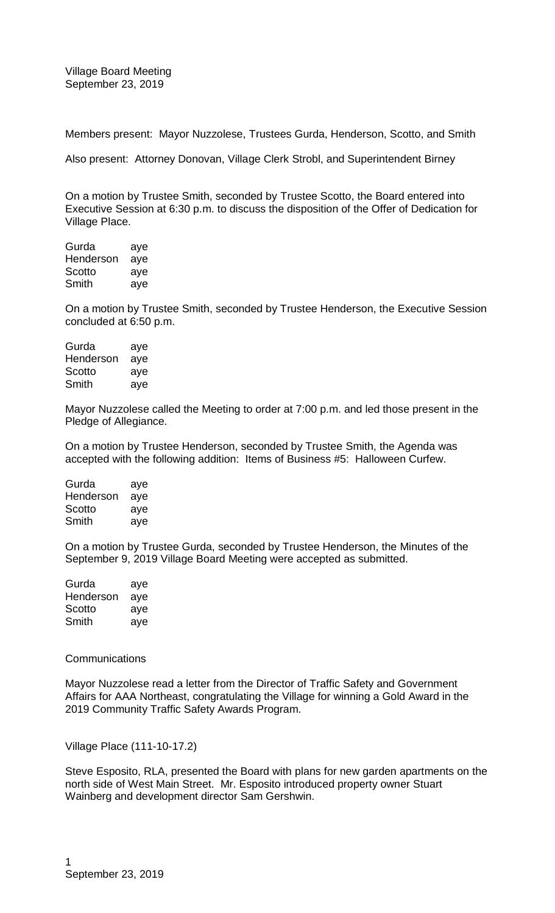Members present: Mayor Nuzzolese, Trustees Gurda, Henderson, Scotto, and Smith

Also present: Attorney Donovan, Village Clerk Strobl, and Superintendent Birney

On a motion by Trustee Smith, seconded by Trustee Scotto, the Board entered into Executive Session at 6:30 p.m. to discuss the disposition of the Offer of Dedication for Village Place.

| Gurda     | aye |
|-----------|-----|
| Henderson | aye |
| Scotto    | aye |
| Smith     | aye |

On a motion by Trustee Smith, seconded by Trustee Henderson, the Executive Session concluded at 6:50 p.m.

| Gurda     | aye |
|-----------|-----|
| Henderson | aye |
| Scotto    | aye |
| Smith     | aye |

Mayor Nuzzolese called the Meeting to order at 7:00 p.m. and led those present in the Pledge of Allegiance.

On a motion by Trustee Henderson, seconded by Trustee Smith, the Agenda was accepted with the following addition: Items of Business #5: Halloween Curfew.

| Gurda     | aye |
|-----------|-----|
| Henderson | aye |
| Scotto    | aye |
| Smith     | aye |

On a motion by Trustee Gurda, seconded by Trustee Henderson, the Minutes of the September 9, 2019 Village Board Meeting were accepted as submitted.

| Gurda     | aye |
|-----------|-----|
| Henderson | aye |
| Scotto    | aye |
| Smith     | aye |

## **Communications**

Mayor Nuzzolese read a letter from the Director of Traffic Safety and Government Affairs for AAA Northeast, congratulating the Village for winning a Gold Award in the 2019 Community Traffic Safety Awards Program.

Village Place (111-10-17.2)

Steve Esposito, RLA, presented the Board with plans for new garden apartments on the north side of West Main Street. Mr. Esposito introduced property owner Stuart Wainberg and development director Sam Gershwin.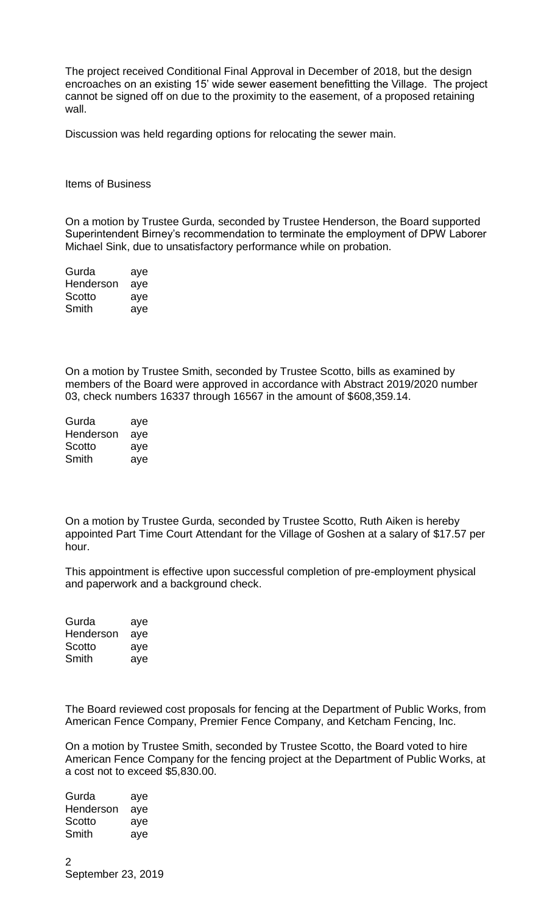The project received Conditional Final Approval in December of 2018, but the design encroaches on an existing 15' wide sewer easement benefitting the Village. The project cannot be signed off on due to the proximity to the easement, of a proposed retaining wall.

Discussion was held regarding options for relocating the sewer main.

Items of Business

On a motion by Trustee Gurda, seconded by Trustee Henderson, the Board supported Superintendent Birney's recommendation to terminate the employment of DPW Laborer Michael Sink, due to unsatisfactory performance while on probation.

| Gurda     | aye |
|-----------|-----|
| Henderson | aye |
| Scotto    | aye |
| Smith     | aye |

On a motion by Trustee Smith, seconded by Trustee Scotto, bills as examined by members of the Board were approved in accordance with Abstract 2019/2020 number 03, check numbers 16337 through 16567 in the amount of \$608,359.14.

| Gurda     | aye |
|-----------|-----|
| Henderson | aye |
| Scotto    | aye |
| Smith     | aye |

On a motion by Trustee Gurda, seconded by Trustee Scotto, Ruth Aiken is hereby appointed Part Time Court Attendant for the Village of Goshen at a salary of \$17.57 per hour.

This appointment is effective upon successful completion of pre-employment physical and paperwork and a background check.

Gurda aye Henderson aye Scotto aye Smith aye

The Board reviewed cost proposals for fencing at the Department of Public Works, from American Fence Company, Premier Fence Company, and Ketcham Fencing, Inc.

On a motion by Trustee Smith, seconded by Trustee Scotto, the Board voted to hire American Fence Company for the fencing project at the Department of Public Works, at a cost not to exceed \$5,830.00.

Gurda aye Henderson aye Scotto aye Smith aye

 $\mathfrak{D}$ September 23, 2019